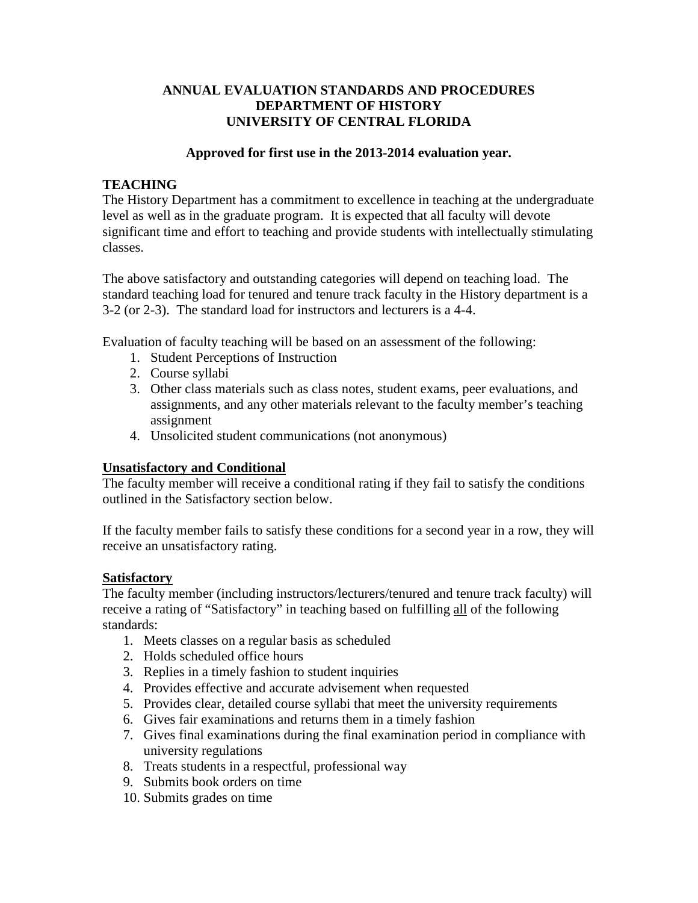## **ANNUAL EVALUATION STANDARDS AND PROCEDURES DEPARTMENT OF HISTORY UNIVERSITY OF CENTRAL FLORIDA**

### **Approved for first use in the 2013-2014 evaluation year.**

## **TEACHING**

The History Department has a commitment to excellence in teaching at the undergraduate level as well as in the graduate program. It is expected that all faculty will devote significant time and effort to teaching and provide students with intellectually stimulating classes.

The above satisfactory and outstanding categories will depend on teaching load. The standard teaching load for tenured and tenure track faculty in the History department is a 3-2 (or 2-3). The standard load for instructors and lecturers is a 4-4.

Evaluation of faculty teaching will be based on an assessment of the following:

- 1. Student Perceptions of Instruction
- 2. Course syllabi
- 3. Other class materials such as class notes, student exams, peer evaluations, and assignments, and any other materials relevant to the faculty member's teaching assignment
- 4. Unsolicited student communications (not anonymous)

### **Unsatisfactory and Conditional**

The faculty member will receive a conditional rating if they fail to satisfy the conditions outlined in the Satisfactory section below.

If the faculty member fails to satisfy these conditions for a second year in a row, they will receive an unsatisfactory rating.

### **Satisfactory**

The faculty member (including instructors/lecturers/tenured and tenure track faculty) will receive a rating of "Satisfactory" in teaching based on fulfilling all of the following standards:

- 1. Meets classes on a regular basis as scheduled
- 2. Holds scheduled office hours
- 3. Replies in a timely fashion to student inquiries
- 4. Provides effective and accurate advisement when requested
- 5. Provides clear, detailed course syllabi that meet the university requirements
- 6. Gives fair examinations and returns them in a timely fashion
- 7. Gives final examinations during the final examination period in compliance with university regulations
- 8. Treats students in a respectful, professional way
- 9. Submits book orders on time
- 10. Submits grades on time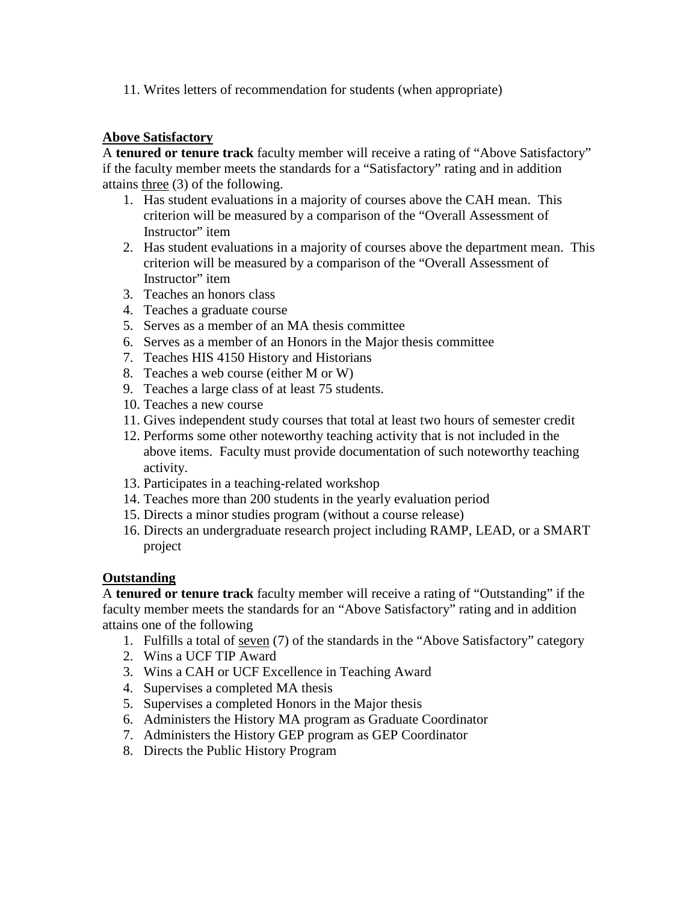11. Writes letters of recommendation for students (when appropriate)

### **Above Satisfactory**

A **tenured or tenure track** faculty member will receive a rating of "Above Satisfactory" if the faculty member meets the standards for a "Satisfactory" rating and in addition attains three (3) of the following.

- 1. Has student evaluations in a majority of courses above the CAH mean. This criterion will be measured by a comparison of the "Overall Assessment of Instructor" item
- 2. Has student evaluations in a majority of courses above the department mean. This criterion will be measured by a comparison of the "Overall Assessment of Instructor" item
- 3. Teaches an honors class
- 4. Teaches a graduate course
- 5. Serves as a member of an MA thesis committee
- 6. Serves as a member of an Honors in the Major thesis committee
- 7. Teaches HIS 4150 History and Historians
- 8. Teaches a web course (either M or W)
- 9. Teaches a large class of at least 75 students.
- 10. Teaches a new course
- 11. Gives independent study courses that total at least two hours of semester credit
- 12. Performs some other noteworthy teaching activity that is not included in the above items. Faculty must provide documentation of such noteworthy teaching activity.
- 13. Participates in a teaching-related workshop
- 14. Teaches more than 200 students in the yearly evaluation period
- 15. Directs a minor studies program (without a course release)
- 16. Directs an undergraduate research project including RAMP, LEAD, or a SMART project

## **Outstanding**

A **tenured or tenure track** faculty member will receive a rating of "Outstanding" if the faculty member meets the standards for an "Above Satisfactory" rating and in addition attains one of the following

- 1. Fulfills a total of seven (7) of the standards in the "Above Satisfactory" category
- 2. Wins a UCF TIP Award
- 3. Wins a CAH or UCF Excellence in Teaching Award
- 4. Supervises a completed MA thesis
- 5. Supervises a completed Honors in the Major thesis
- 6. Administers the History MA program as Graduate Coordinator
- 7. Administers the History GEP program as GEP Coordinator
- 8. Directs the Public History Program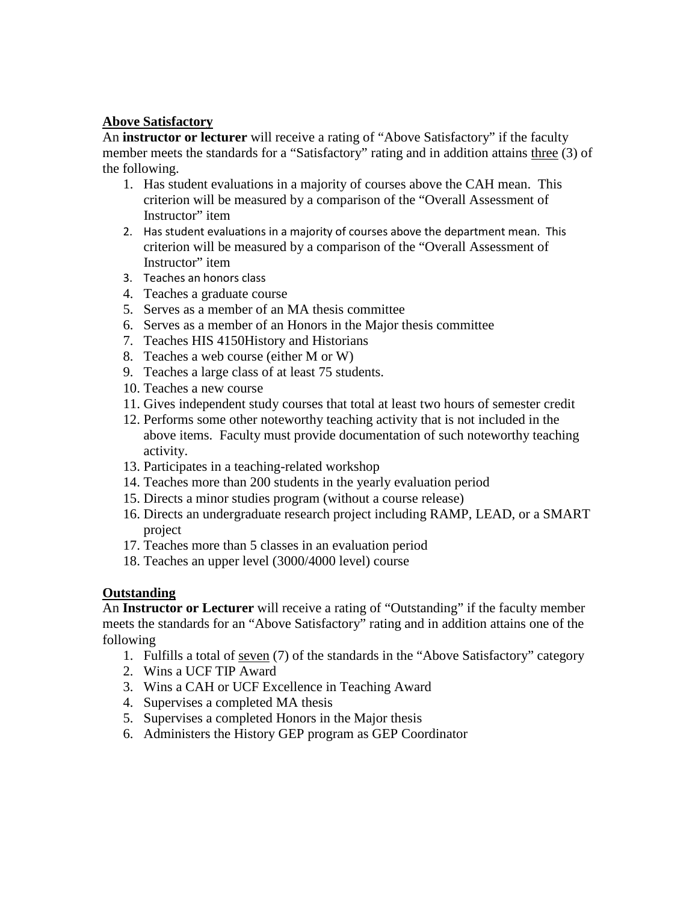### **Above Satisfactory**

An **instructor or lecturer** will receive a rating of "Above Satisfactory" if the faculty member meets the standards for a "Satisfactory" rating and in addition attains three (3) of the following.

- 1. Has student evaluations in a majority of courses above the CAH mean. This criterion will be measured by a comparison of the "Overall Assessment of Instructor" item
- 2. Has student evaluations in a majority of courses above the department mean. This criterion will be measured by a comparison of the "Overall Assessment of Instructor" item
- 3. Teaches an honors class
- 4. Teaches a graduate course
- 5. Serves as a member of an MA thesis committee
- 6. Serves as a member of an Honors in the Major thesis committee
- 7. Teaches HIS 4150History and Historians
- 8. Teaches a web course (either M or W)
- 9. Teaches a large class of at least 75 students.
- 10. Teaches a new course
- 11. Gives independent study courses that total at least two hours of semester credit
- 12. Performs some other noteworthy teaching activity that is not included in the above items. Faculty must provide documentation of such noteworthy teaching activity.
- 13. Participates in a teaching-related workshop
- 14. Teaches more than 200 students in the yearly evaluation period
- 15. Directs a minor studies program (without a course release)
- 16. Directs an undergraduate research project including RAMP, LEAD, or a SMART project
- 17. Teaches more than 5 classes in an evaluation period
- 18. Teaches an upper level (3000/4000 level) course

## **Outstanding**

An **Instructor or Lecturer** will receive a rating of "Outstanding" if the faculty member meets the standards for an "Above Satisfactory" rating and in addition attains one of the following

- 1. Fulfills a total of <u>seven</u> (7) of the standards in the "Above Satisfactory" category
- 2. Wins a UCF TIP Award
- 3. Wins a CAH or UCF Excellence in Teaching Award
- 4. Supervises a completed MA thesis
- 5. Supervises a completed Honors in the Major thesis
- 6. Administers the History GEP program as GEP Coordinator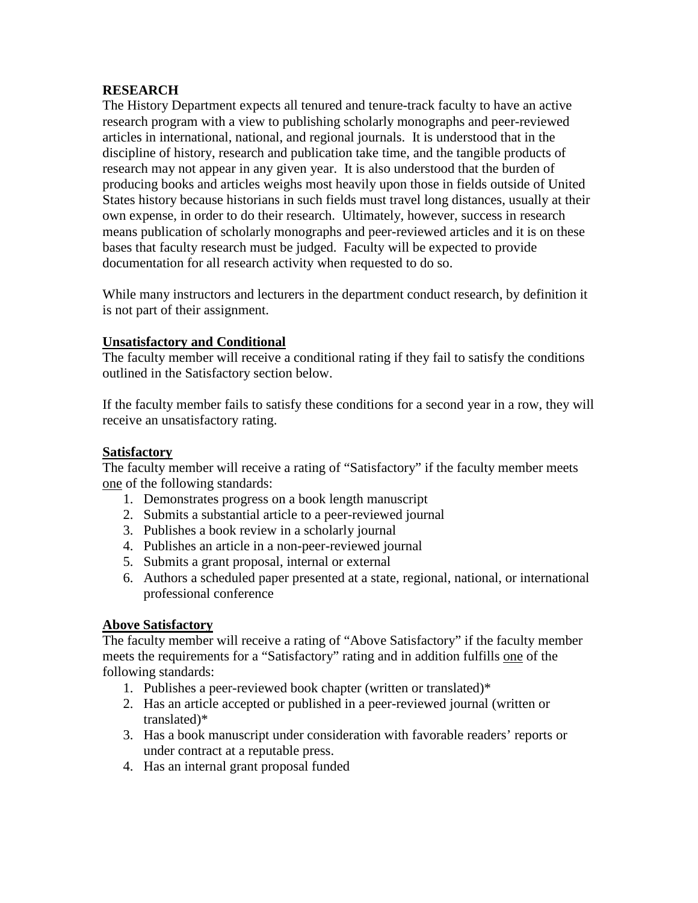### **RESEARCH**

The History Department expects all tenured and tenure-track faculty to have an active research program with a view to publishing scholarly monographs and peer-reviewed articles in international, national, and regional journals. It is understood that in the discipline of history, research and publication take time, and the tangible products of research may not appear in any given year. It is also understood that the burden of producing books and articles weighs most heavily upon those in fields outside of United States history because historians in such fields must travel long distances, usually at their own expense, in order to do their research. Ultimately, however, success in research means publication of scholarly monographs and peer-reviewed articles and it is on these bases that faculty research must be judged. Faculty will be expected to provide documentation for all research activity when requested to do so.

While many instructors and lecturers in the department conduct research, by definition it is not part of their assignment.

## **Unsatisfactory and Conditional**

The faculty member will receive a conditional rating if they fail to satisfy the conditions outlined in the Satisfactory section below.

If the faculty member fails to satisfy these conditions for a second year in a row, they will receive an unsatisfactory rating.

### **Satisfactory**

The faculty member will receive a rating of "Satisfactory" if the faculty member meets one of the following standards:

- 1. Demonstrates progress on a book length manuscript
- 2. Submits a substantial article to a peer-reviewed journal
- 3. Publishes a book review in a scholarly journal
- 4. Publishes an article in a non-peer-reviewed journal
- 5. Submits a grant proposal, internal or external
- 6. Authors a scheduled paper presented at a state, regional, national, or international professional conference

## **Above Satisfactory**

The faculty member will receive a rating of "Above Satisfactory" if the faculty member meets the requirements for a "Satisfactory" rating and in addition fulfills one of the following standards:

- 1. Publishes a peer-reviewed book chapter (written or translated)\*
- 2. Has an article accepted or published in a peer-reviewed journal (written or translated)\*
- 3. Has a book manuscript under consideration with favorable readers' reports or under contract at a reputable press.
- 4. Has an internal grant proposal funded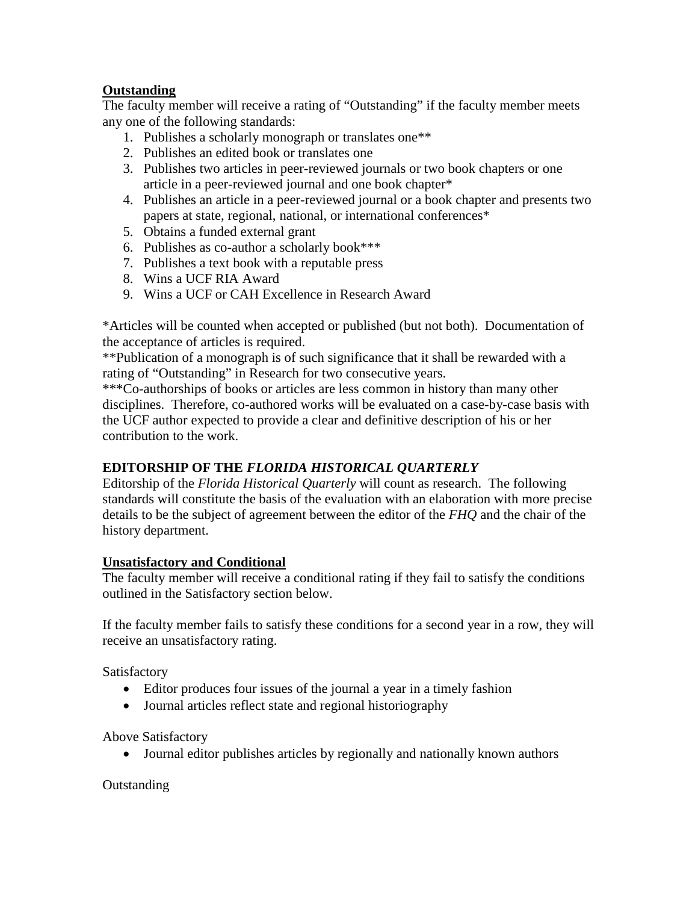# **Outstanding**

The faculty member will receive a rating of "Outstanding" if the faculty member meets any one of the following standards:

- 1. Publishes a scholarly monograph or translates one\*\*
- 2. Publishes an edited book or translates one
- 3. Publishes two articles in peer-reviewed journals or two book chapters or one article in a peer-reviewed journal and one book chapter\*
- 4. Publishes an article in a peer-reviewed journal or a book chapter and presents two papers at state, regional, national, or international conferences\*
- 5. Obtains a funded external grant
- 6. Publishes as co-author a scholarly book\*\*\*
- 7. Publishes a text book with a reputable press
- 8. Wins a UCF RIA Award
- 9. Wins a UCF or CAH Excellence in Research Award

\*Articles will be counted when accepted or published (but not both). Documentation of the acceptance of articles is required.

\*\*Publication of a monograph is of such significance that it shall be rewarded with a rating of "Outstanding" in Research for two consecutive years.

\*\*\*Co-authorships of books or articles are less common in history than many other disciplines. Therefore, co-authored works will be evaluated on a case-by-case basis with the UCF author expected to provide a clear and definitive description of his or her contribution to the work.

# **EDITORSHIP OF THE** *FLORIDA HISTORICAL QUARTERLY*

Editorship of the *Florida Historical Quarterly* will count as research. The following standards will constitute the basis of the evaluation with an elaboration with more precise details to be the subject of agreement between the editor of the *FHQ* and the chair of the history department.

# **Unsatisfactory and Conditional**

The faculty member will receive a conditional rating if they fail to satisfy the conditions outlined in the Satisfactory section below.

If the faculty member fails to satisfy these conditions for a second year in a row, they will receive an unsatisfactory rating.

Satisfactory

- Editor produces four issues of the journal a year in a timely fashion
- Journal articles reflect state and regional historiography

Above Satisfactory

• Journal editor publishes articles by regionally and nationally known authors

**Outstanding**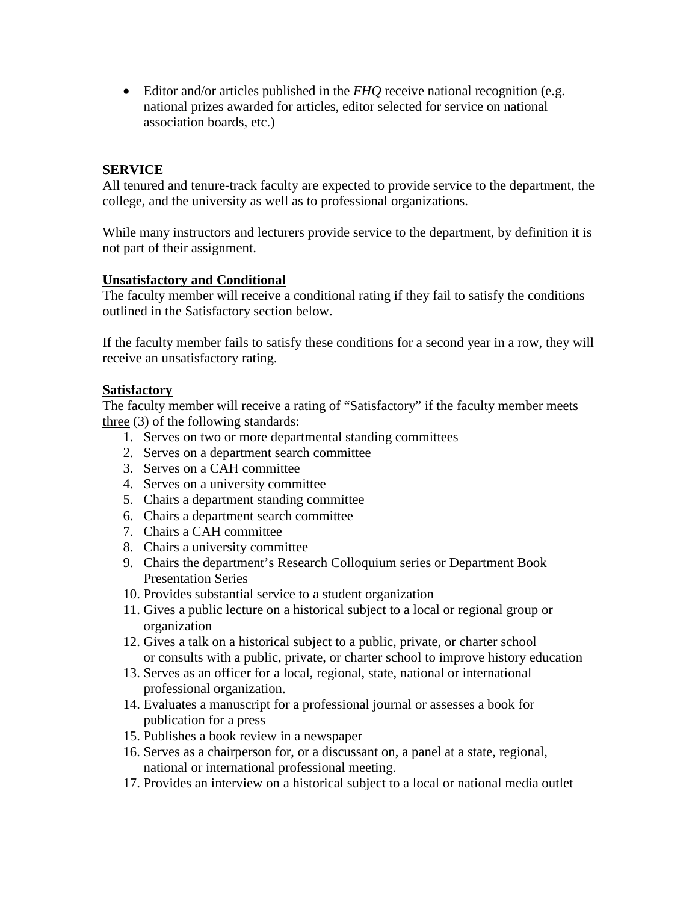• Editor and/or articles published in the *FHQ* receive national recognition (e.g. national prizes awarded for articles, editor selected for service on national association boards, etc.)

### **SERVICE**

All tenured and tenure-track faculty are expected to provide service to the department, the college, and the university as well as to professional organizations.

While many instructors and lecturers provide service to the department, by definition it is not part of their assignment.

### **Unsatisfactory and Conditional**

The faculty member will receive a conditional rating if they fail to satisfy the conditions outlined in the Satisfactory section below.

If the faculty member fails to satisfy these conditions for a second year in a row, they will receive an unsatisfactory rating.

#### **Satisfactory**

The faculty member will receive a rating of "Satisfactory" if the faculty member meets three (3) of the following standards:

- 1. Serves on two or more departmental standing committees
- 2. Serves on a department search committee
- 3. Serves on a CAH committee
- 4. Serves on a university committee
- 5. Chairs a department standing committee
- 6. Chairs a department search committee
- 7. Chairs a CAH committee
- 8. Chairs a university committee
- 9. Chairs the department's Research Colloquium series or Department Book Presentation Series
- 10. Provides substantial service to a student organization
- 11. Gives a public lecture on a historical subject to a local or regional group or organization
- 12. Gives a talk on a historical subject to a public, private, or charter school or consults with a public, private, or charter school to improve history education
- 13. Serves as an officer for a local, regional, state, national or international professional organization.
- 14. Evaluates a manuscript for a professional journal or assesses a book for publication for a press
- 15. Publishes a book review in a newspaper
- 16. Serves as a chairperson for, or a discussant on, a panel at a state, regional, national or international professional meeting.
- 17. Provides an interview on a historical subject to a local or national media outlet